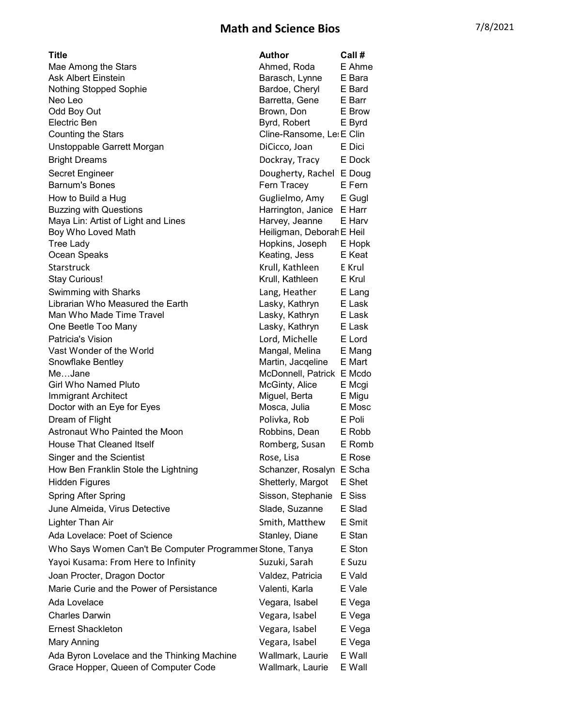## Math and Science Bios 7/8/2021

| Title                                                    | <b>Author</b>                                  | Call # |
|----------------------------------------------------------|------------------------------------------------|--------|
| Mae Among the Stars                                      | Ahmed, Roda                                    | E Ahme |
| <b>Ask Albert Einstein</b>                               | Barasch, Lynne                                 | E Bara |
| <b>Nothing Stopped Sophie</b>                            | Bardoe, Cheryl                                 | E Bard |
| Neo Leo                                                  | Barretta, Gene                                 | E Barr |
| Odd Boy Out                                              | Brown, Don                                     | E Brow |
| Electric Ben                                             | Byrd, Robert                                   | E Byrd |
| <b>Counting the Stars</b>                                | Cline-Ransome, Le: E Clin                      |        |
| Unstoppable Garrett Morgan                               | DiCicco, Joan                                  | E Dici |
| <b>Bright Dreams</b>                                     | Dockray, Tracy                                 | E Dock |
| Secret Engineer                                          | Dougherty, Rachel E Doug                       |        |
| <b>Barnum's Bones</b>                                    | Fern Tracey                                    | E Fern |
| How to Build a Hug                                       | Guglielmo, Amy                                 | E Gugl |
| <b>Buzzing with Questions</b>                            | Harrington, Janice                             | E Harr |
| Maya Lin: Artist of Light and Lines                      | Harvey, Jeanne                                 | E Harv |
| Boy Who Loved Math                                       | Heiligman, Deborah E Heil                      |        |
| <b>Tree Lady</b>                                         | Hopkins, Joseph                                | E Hopk |
| Ocean Speaks                                             | Keating, Jess                                  | E Keat |
| Starstruck                                               | Krull, Kathleen                                | E Krul |
| <b>Stay Curious!</b>                                     | Krull, Kathleen                                | E Krul |
| Swimming with Sharks                                     | Lang, Heather                                  | E Lang |
| Librarian Who Measured the Earth                         | Lasky, Kathryn                                 | E Lask |
| Man Who Made Time Travel                                 | Lasky, Kathryn                                 | E Lask |
| One Beetle Too Many                                      | Lasky, Kathryn                                 | E Lask |
| Patricia's Vision                                        | Lord, Michelle                                 | E Lord |
| Vast Wonder of the World                                 | Mangal, Melina                                 | E Mang |
| Snowflake Bentley<br>MeJane                              | Martin, Jacqeline<br>McDonnell, Patrick E Mcdo | E Mart |
| <b>Girl Who Named Pluto</b>                              | McGinty, Alice                                 | E Mcgi |
| <b>Immigrant Architect</b>                               | Miguel, Berta                                  | E Migu |
| Doctor with an Eye for Eyes                              | Mosca, Julia                                   | E Mosc |
| Dream of Flight                                          | Polivka, Rob                                   | E Poli |
| Astronaut Who Painted the Moon                           | Robbins, Dean                                  | E Robb |
| <b>House That Cleaned Itself</b>                         | Romberg, Susan                                 | E Romb |
| Singer and the Scientist                                 | Rose, Lisa                                     | E Rose |
| How Ben Franklin Stole the Lightning                     | Schanzer, Rosalyn                              | E Scha |
| <b>Hidden Figures</b>                                    | Shetterly, Margot                              | E Shet |
|                                                          |                                                | E Siss |
| <b>Spring After Spring</b>                               | Sisson, Stephanie                              |        |
| June Almeida, Virus Detective                            | Slade, Suzanne                                 | E Slad |
| Lighter Than Air                                         | Smith, Matthew                                 | E Smit |
| Ada Lovelace: Poet of Science                            | Stanley, Diane                                 | E Stan |
| Who Says Women Can't Be Computer Programmer Stone, Tanya |                                                | E Ston |
| Yayoi Kusama: From Here to Infinity                      | Suzuki, Sarah                                  | E Suzu |
| Joan Procter, Dragon Doctor                              | Valdez, Patricia                               | E Vald |
| Marie Curie and the Power of Persistance                 | Valenti, Karla                                 | E Vale |
| Ada Lovelace                                             | Vegara, Isabel                                 | E Vega |
| <b>Charles Darwin</b>                                    | Vegara, Isabel                                 | E Vega |
| <b>Ernest Shackleton</b>                                 | Vegara, Isabel                                 | E Vega |
| Mary Anning                                              | Vegara, Isabel                                 | E Vega |
| Ada Byron Lovelace and the Thinking Machine              | Wallmark, Laurie                               | E Wall |
| Grace Hopper, Queen of Computer Code                     | Wallmark, Laurie                               | E Wall |